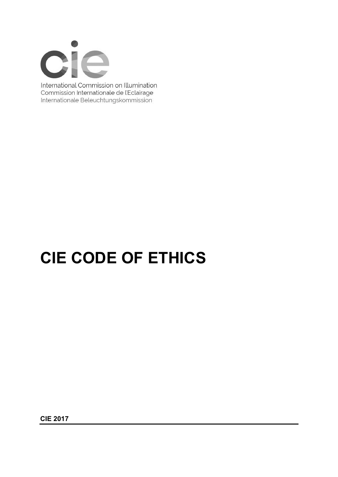

International Commission on Illumination Commission Internationale de l'Eclairage Internationale Beleuchtungskommission

# **CIE CODE OF ETHICS**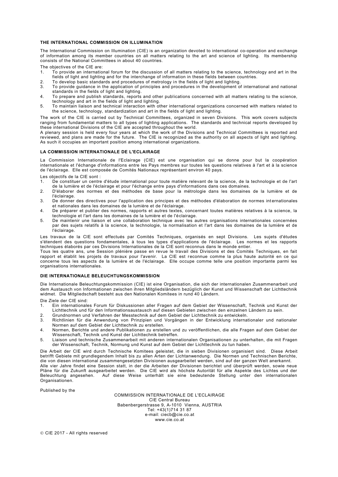## **THE INTERNATIONAL COMMISSION ON ILLUMINATION**

The International Commission on Illumination (CIE) is an organization devoted to international co-operation and exchange of information among its member countries on all matters relating to the art and science of lighting. Its membership consists of the National Committees in about 40 countries.

The objectives of the CIE are:

- 1. To provide an international forum for the discussion of all matters relating to the science, technology and art in the fields of light and lighting and for the interchange of information in these fields between countries.
- 2. To develop basic standards and procedures of metrology in the fields of light and lighting.<br>3. To provide quidance in the application of principles and procedures in the development of
- 3. To provide guidance in the application of principles and procedures in the development of international and national standards in the fields of light and lighting.
- 4. To prepare and publish standards, reports and other publications concerned with all matters relating to the science, technology and art in the fields of light and lighting.
- 5. To maintain liaison and technical interaction with other international organizations concerned with matters related to the science, technology, standardization and art in the fields of light and lighting.

The work of the CIE is carried out by Technical Committees, organized in seven Divisions. This work covers subjects ranging from fundamental matters to all types of lighting applications. The standards and technical reports developed by these international Divisions of the CIE are accepted throughout the world.

A plenary session is held every four years at which the work of the Divisions and Technical Committees is reported and reviewed, and plans are made for the future. The CIE is recognized as the authority on all aspects of light and lighting. As such it occupies an important position among international organizations.

#### **LA COMMISSION INTERNATIONALE DE L'ECLAIRAGE**

La Commission Internationale de l'Eclairage (CIE) est une organisation qui se donne pour but la coopération internationale et l'échange d'informations entre les Pays membres sur toutes les questions relatives à l'art et à la science de l'éclairage. Elle est composée de Comités Nationaux représentant environ 40 pays.

Les objectifs de la CIE sont :<br>1. De constituer un centre

- De constituer un centre d'étude international pour toute matière relevant de la science, de la technologie et de l'art de la lumière et de l'éclairage et pour l'échange entre pays d'informations dans ces domaines.
- 2. D'élaborer des normes et des méthodes de base pour la métrologie dans les domaines de la lumière et de l'éclairage.
- 3. De donner des directives pour l'application des principes et des méthodes d'élaboration de normes int ernationales et nationales dans les domaines de la lumière et de l'éclairage.
- 4. De préparer et publier des normes, rapports et autres textes, concernant toutes matières relatives à la science, la technologie et l'art dans les domaines de la lumière et de l'éclairage.
- 5. De maintenir une liaison et une collaboration technique avec les autres organisations internationales concernées par des sujets relatifs à la science, la technologie, la normalisation et l'art dans les domaines de la lumière et de l'éclairage.

Les travaux de la CIE sont effectués par Comités Techniques, organisés en sept Divisions. Les sujets d'études s'étendent des questions fondamentales, à tous les types d'applications de l'éclairage. Les normes et les rapports techniques élaborés par ces Divisions Internationales de la CIE sont reconnus dans le monde entier.

Tous les quatre ans, une Session plénière passe en revue le travail des Divisions et des Comités Techniques, en fait rapport et établit les projets de travaux pour l'avenir. La CIE est reconnue comme la plus haute autorité en ce qui concerne tous les aspects de la lumière et de l'éclairage. Elle occupe comme telle une position importante parmi les organisations internationales.

### **DIE INTERNATIONALE BELEUCHTUNGSKOMMISSION**

Die Internationale Beleuchtungskommission (CIE) ist eine Organisation, die sich der internationalen Zusammenarbeit und dem Austausch von Informationen zwischen ihren Mitgliedsländern bezüglich der Kunst und Wissenschaft der Lichttechnik widmet. Die Mitgliedschaft besteht aus den Nationalen Komitees in rund 40 Ländern.

Die Ziele der CIE sind:

- 1. Ein internationales Forum für Diskussionen aller Fragen auf dem Gebiet der Wissenschaft, Technik und Kunst der Lichttechnik und für den Informationsaustausch auf diesen Gebieten zwischen den einzelnen Ländern zu sein.
- 2. Grundnormen und Verfahren der Messtechnik auf dem Gebiet der Lichttechnik zu entwickeln.<br>3. Richtlinien für die Anwendung von Prinzipien und Vorgängen in der Entwicklung interna 3. Richtlinien für die Anwendung von Prinzipien und Vorgängen in der Entwicklung internationaler und nationaler
- Normen auf dem Gebiet der Lichttechnik zu erstellen.
- 4. Normen, Berichte und andere Publikationen zu erstellen und zu veröffentlichen, die alle Fragen auf dem Gebiet der Wissenschaft, Technik und Kunst der Lichttechnik betreffen.
- 5. Liaison und technische Zusammenarbeit mit anderen internationalen Organisationen zu unterhalten, die mit Fragen der Wissenschaft, Technik, Normung und Kunst auf dem Gebiet der Lichttechnik zu tun haben.

Die Arbeit der CIE wird durch Technische Komitees geleistet, die in sieben Divisionen organisiert sind. Diese Arbeit betrifft Gebiete mit grundlegendem Inhalt bis zu allen Arten der Lichtanwendung. Die Normen und Technischen Berichte, die von diesen international zusammengesetzten Divisionen ausgearbeitet werden, sind auf der ganzen Welt anerkannt.

Alle vier Jahre findet eine Session statt, in der die Arbeiten der Divisionen berichtet und überprüft werden, sowie neue Pläne für die Zukunft ausgearbeitet werden. Die CIE wird als höchste Autorität für alle Aspekte des Lichtes und der Beleuchtung angesehen. Auf diese Weise unterhält sie eine bedeutende Stellung unter den internationalen Organisationen.

Published by the

COMMISSION INTERNATIONALE DE L'ECLAIRAGE CIE Central Bureau Babenbergerstrasse 9, A-1010 Vienna, AUSTRIA Tel: +43(1)714 31 87 e-mail: ciecb@cie.co.at www.cie.co.at

© CIE 2017 - All rights reserved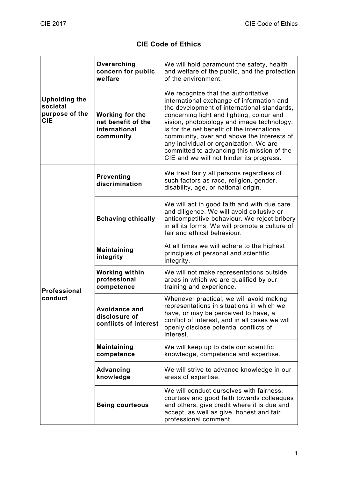# **CIE Code of Ethics**

| <b>Upholding the</b><br>societal<br>purpose of the<br><b>CIE</b> | Overarching<br>concern for public<br>welfare                               | We will hold paramount the safety, health<br>and welfare of the public, and the protection<br>of the environment.                                                                                                                                                                                                                                                                                                                                           |
|------------------------------------------------------------------|----------------------------------------------------------------------------|-------------------------------------------------------------------------------------------------------------------------------------------------------------------------------------------------------------------------------------------------------------------------------------------------------------------------------------------------------------------------------------------------------------------------------------------------------------|
|                                                                  | <b>Working for the</b><br>net benefit of the<br>international<br>community | We recognize that the authoritative<br>international exchange of information and<br>the development of international standards,<br>concerning light and lighting, colour and<br>vision, photobiology and image technology,<br>is for the net benefit of the international<br>community, over and above the interests of<br>any individual or organization. We are<br>committed to advancing this mission of the<br>CIE and we will not hinder its progress. |
| <b>Professional</b><br>conduct                                   | <b>Preventing</b><br>discrimination                                        | We treat fairly all persons regardless of<br>such factors as race, religion, gender,<br>disability, age, or national origin.                                                                                                                                                                                                                                                                                                                                |
|                                                                  | <b>Behaving ethically</b>                                                  | We will act in good faith and with due care<br>and diligence. We will avoid collusive or<br>anticompetitive behaviour. We reject bribery<br>in all its forms. We will promote a culture of<br>fair and ethical behaviour.                                                                                                                                                                                                                                   |
|                                                                  | <b>Maintaining</b><br>integrity                                            | At all times we will adhere to the highest<br>principles of personal and scientific<br>integrity.                                                                                                                                                                                                                                                                                                                                                           |
|                                                                  | <b>Working within</b><br>professional<br>competence                        | We will not make representations outside<br>areas in which we are qualified by our<br>training and experience.                                                                                                                                                                                                                                                                                                                                              |
|                                                                  | <b>Avoidance and</b><br>disclosure of<br>conflicts of interest             | Whenever practical, we will avoid making<br>representations in situations in which we<br>have, or may be perceived to have, a<br>conflict of interest, and in all cases we will<br>openly disclose potential conflicts of<br>interest.                                                                                                                                                                                                                      |
|                                                                  | <b>Maintaining</b><br>competence                                           | We will keep up to date our scientific<br>knowledge, competence and expertise.                                                                                                                                                                                                                                                                                                                                                                              |
|                                                                  | <b>Advancing</b><br>knowledge                                              | We will strive to advance knowledge in our<br>areas of expertise.                                                                                                                                                                                                                                                                                                                                                                                           |
|                                                                  | <b>Being courteous</b>                                                     | We will conduct ourselves with fairness,<br>courtesy and good faith towards colleagues<br>and others, give credit where it is due and<br>accept, as well as give, honest and fair<br>professional comment.                                                                                                                                                                                                                                                  |